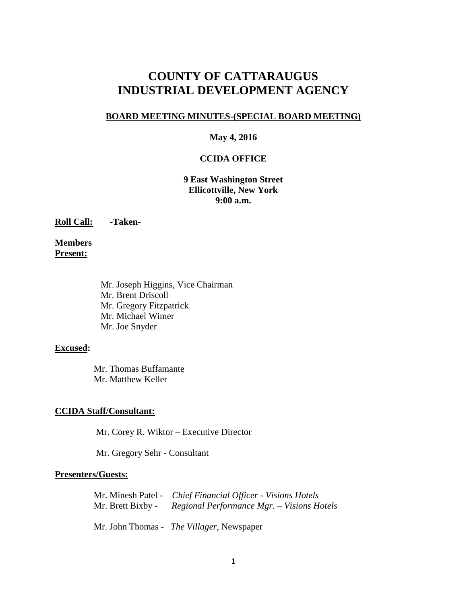# **COUNTY OF CATTARAUGUS INDUSTRIAL DEVELOPMENT AGENCY**

#### **BOARD MEETING MINUTES-(SPECIAL BOARD MEETING)**

#### **May 4, 2016**

#### **CCIDA OFFICE**

**9 East Washington Street Ellicottville, New York 9:00 a.m.**

**Roll Call: -Taken-**

**Members Present:**

> Mr. Joseph Higgins, Vice Chairman Mr. Brent Driscoll Mr. Gregory Fitzpatrick Mr. Michael Wimer Mr. Joe Snyder

#### **Excused:**

Mr. Thomas Buffamante Mr. Matthew Keller

#### **CCIDA Staff/Consultant:**

Mr. Corey R. Wiktor – Executive Director

Mr. Gregory Sehr - Consultant

#### **Presenters/Guests:**

Mr. Minesh Patel - *Chief Financial Officer - Visions Hotels* Mr. Brett Bixby - *Regional Performance Mgr. – Visions Hotels*

Mr. John Thomas - *The Villager*, Newspaper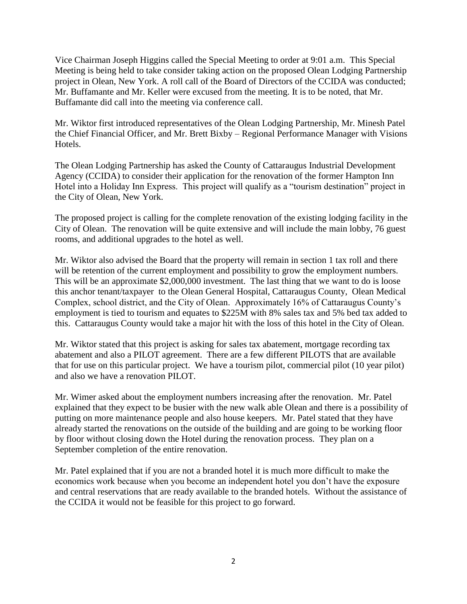Vice Chairman Joseph Higgins called the Special Meeting to order at 9:01 a.m. This Special Meeting is being held to take consider taking action on the proposed Olean Lodging Partnership project in Olean, New York. A roll call of the Board of Directors of the CCIDA was conducted; Mr. Buffamante and Mr. Keller were excused from the meeting. It is to be noted, that Mr. Buffamante did call into the meeting via conference call.

Mr. Wiktor first introduced representatives of the Olean Lodging Partnership, Mr. Minesh Patel the Chief Financial Officer, and Mr. Brett Bixby – Regional Performance Manager with Visions Hotels.

The Olean Lodging Partnership has asked the County of Cattaraugus Industrial Development Agency (CCIDA) to consider their application for the renovation of the former Hampton Inn Hotel into a Holiday Inn Express. This project will qualify as a "tourism destination" project in the City of Olean, New York.

The proposed project is calling for the complete renovation of the existing lodging facility in the City of Olean. The renovation will be quite extensive and will include the main lobby, 76 guest rooms, and additional upgrades to the hotel as well.

Mr. Wiktor also advised the Board that the property will remain in section 1 tax roll and there will be retention of the current employment and possibility to grow the employment numbers. This will be an approximate \$2,000,000 investment. The last thing that we want to do is loose this anchor tenant/taxpayer to the Olean General Hospital, Cattaraugus County, Olean Medical Complex, school district, and the City of Olean. Approximately 16% of Cattaraugus County's employment is tied to tourism and equates to \$225M with 8% sales tax and 5% bed tax added to this. Cattaraugus County would take a major hit with the loss of this hotel in the City of Olean.

Mr. Wiktor stated that this project is asking for sales tax abatement, mortgage recording tax abatement and also a PILOT agreement. There are a few different PILOTS that are available that for use on this particular project. We have a tourism pilot, commercial pilot (10 year pilot) and also we have a renovation PILOT.

Mr. Wimer asked about the employment numbers increasing after the renovation. Mr. Patel explained that they expect to be busier with the new walk able Olean and there is a possibility of putting on more maintenance people and also house keepers. Mr. Patel stated that they have already started the renovations on the outside of the building and are going to be working floor by floor without closing down the Hotel during the renovation process. They plan on a September completion of the entire renovation.

Mr. Patel explained that if you are not a branded hotel it is much more difficult to make the economics work because when you become an independent hotel you don't have the exposure and central reservations that are ready available to the branded hotels. Without the assistance of the CCIDA it would not be feasible for this project to go forward.